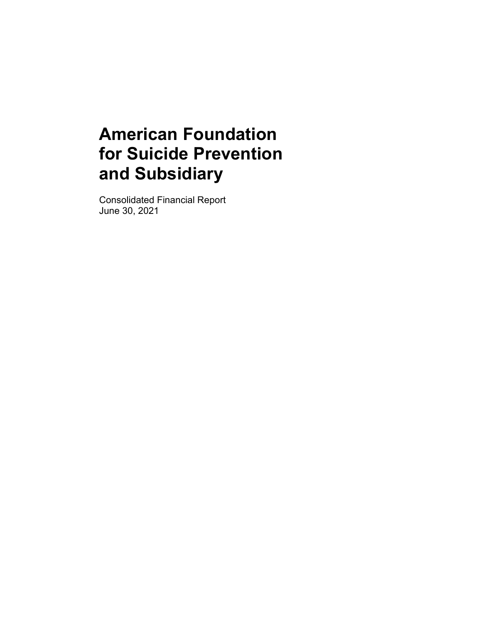Consolidated Financial Report June 30, 2021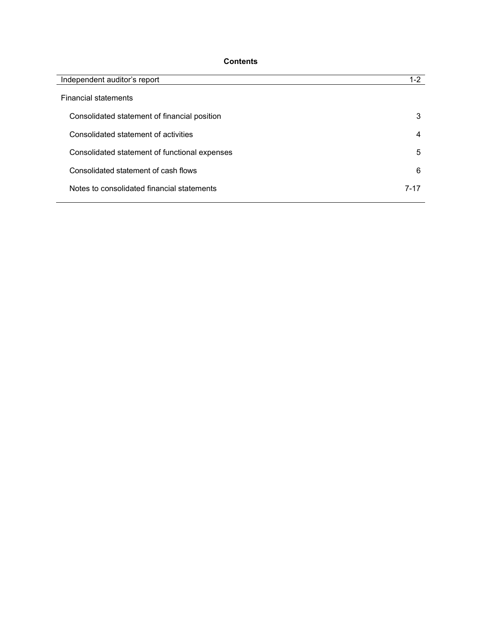# **Contents**

| Independent auditor's report                  | $1 - 2$ |
|-----------------------------------------------|---------|
| <b>Financial statements</b>                   |         |
| Consolidated statement of financial position  | 3       |
| Consolidated statement of activities          | 4       |
| Consolidated statement of functional expenses | 5       |
| Consolidated statement of cash flows          | 6       |
| Notes to consolidated financial statements    | 7-17    |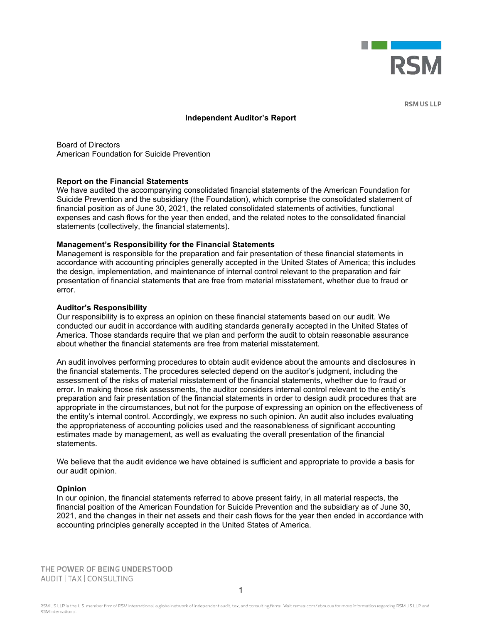

**RSM US LLP** 

#### **Independent Auditor's Report**

Board of Directors American Foundation for Suicide Prevention

#### **Report on the Financial Statements**

We have audited the accompanying consolidated financial statements of the American Foundation for Suicide Prevention and the subsidiary (the Foundation), which comprise the consolidated statement of financial position as of June 30, 2021, the related consolidated statements of activities, functional expenses and cash flows for the year then ended, and the related notes to the consolidated financial statements (collectively, the financial statements).

#### **Management's Responsibility for the Financial Statements**

Management is responsible for the preparation and fair presentation of these financial statements in accordance with accounting principles generally accepted in the United States of America; this includes the design, implementation, and maintenance of internal control relevant to the preparation and fair presentation of financial statements that are free from material misstatement, whether due to fraud or error.

#### **Auditor's Responsibility**

Our responsibility is to express an opinion on these financial statements based on our audit. We conducted our audit in accordance with auditing standards generally accepted in the United States of America. Those standards require that we plan and perform the audit to obtain reasonable assurance about whether the financial statements are free from material misstatement.

An audit involves performing procedures to obtain audit evidence about the amounts and disclosures in the financial statements. The procedures selected depend on the auditor's judgment, including the assessment of the risks of material misstatement of the financial statements, whether due to fraud or error. In making those risk assessments, the auditor considers internal control relevant to the entity's preparation and fair presentation of the financial statements in order to design audit procedures that are appropriate in the circumstances, but not for the purpose of expressing an opinion on the effectiveness of the entity's internal control. Accordingly, we express no such opinion. An audit also includes evaluating the appropriateness of accounting policies used and the reasonableness of significant accounting estimates made by management, as well as evaluating the overall presentation of the financial statements.

We believe that the audit evidence we have obtained is sufficient and appropriate to provide a basis for our audit opinion.

#### **Opinion**

In our opinion, the financial statements referred to above present fairly, in all material respects, the financial position of the American Foundation for Suicide Prevention and the subsidiary as of June 30, 2021, and the changes in their net assets and their cash flows for the year then ended in accordance with accounting principles generally accepted in the United States of America.

THE POWER OF BEING UNDERSTOOD AUDIT | TAX | CONSULTING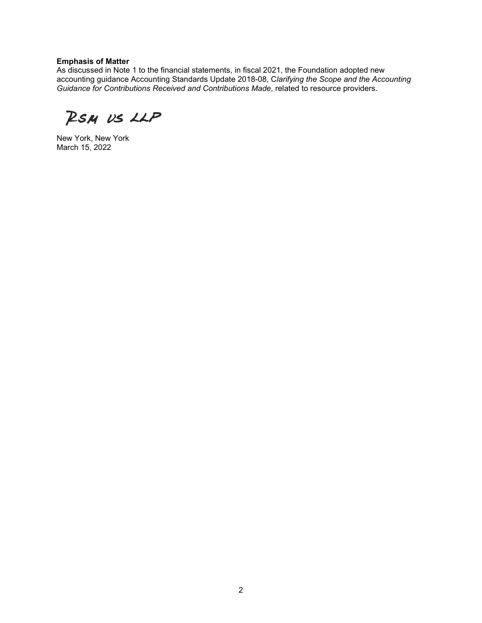### **Emphasis of Matter**

As discussed in Note 1 to the financial statements, in fiscal 2021, the Foundation adopted new accounting guidance Accounting Standards Update 2018-08, C*larifying the Scope and the Accounting Guidance for Contributions Received and Contributions Made*, related to resource providers.

RSM US LLP

New York, New York March 15, 2022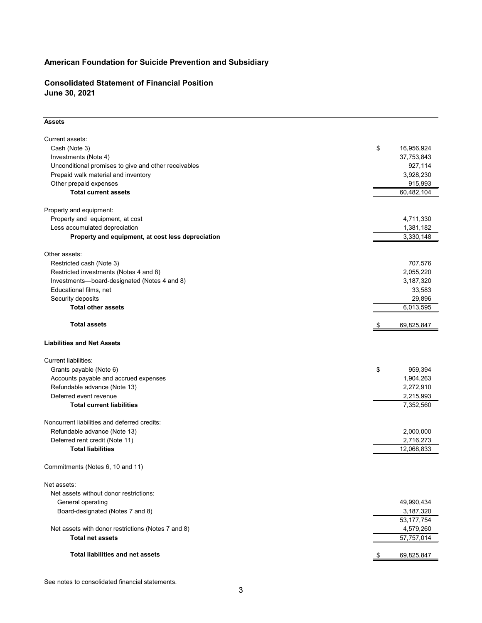# **Consolidated Statement of Financial Position June 30, 2021**

| <b>Assets</b>                                        |    |              |
|------------------------------------------------------|----|--------------|
| Current assets:                                      |    |              |
| Cash (Note 3)                                        | \$ | 16,956,924   |
| Investments (Note 4)                                 |    | 37,753,843   |
| Unconditional promises to give and other receivables |    | 927,114      |
| Prepaid walk material and inventory                  |    | 3,928,230    |
| Other prepaid expenses                               |    | 915,993      |
| <b>Total current assets</b>                          |    | 60,482,104   |
| Property and equipment:                              |    |              |
| Property and equipment, at cost                      |    | 4,711,330    |
| Less accumulated depreciation                        |    | 1,381,182    |
| Property and equipment, at cost less depreciation    |    | 3,330,148    |
| Other assets:                                        |    |              |
| Restricted cash (Note 3)                             |    | 707,576      |
| Restricted investments (Notes 4 and 8)               |    | 2,055,220    |
| Investments-board-designated (Notes 4 and 8)         |    | 3,187,320    |
| Educational films, net                               |    | 33,583       |
| Security deposits                                    |    | 29,896       |
| <b>Total other assets</b>                            |    | 6,013,595    |
| <b>Total assets</b>                                  | S  | 69,825,847   |
| <b>Liabilities and Net Assets</b>                    |    |              |
| <b>Current liabilities:</b>                          |    |              |
| Grants payable (Note 6)                              | \$ | 959,394      |
| Accounts payable and accrued expenses                |    | 1,904,263    |
| Refundable advance (Note 13)                         |    | 2,272,910    |
| Deferred event revenue                               |    | 2,215,993    |
| <b>Total current liabilities</b>                     |    | 7,352,560    |
| Noncurrent liabilities and deferred credits:         |    |              |
| Refundable advance (Note 13)                         |    | 2,000,000    |
| Deferred rent credit (Note 11)                       |    | 2,716,273    |
| <b>Total liabilities</b>                             |    | 12,068,833   |
| Commitments (Notes 6, 10 and 11)                     |    |              |
| Net assets:                                          |    |              |
| Net assets without donor restrictions:               |    |              |
| General operating                                    |    | 49,990,434   |
| Board-designated (Notes 7 and 8)                     |    | 3,187,320    |
|                                                      |    | 53, 177, 754 |
| Net assets with donor restrictions (Notes 7 and 8)   |    | 4,579,260    |
| <b>Total net assets</b>                              |    | 57,757,014   |
| <b>Total liabilities and net assets</b>              | \$ | 69,825,847   |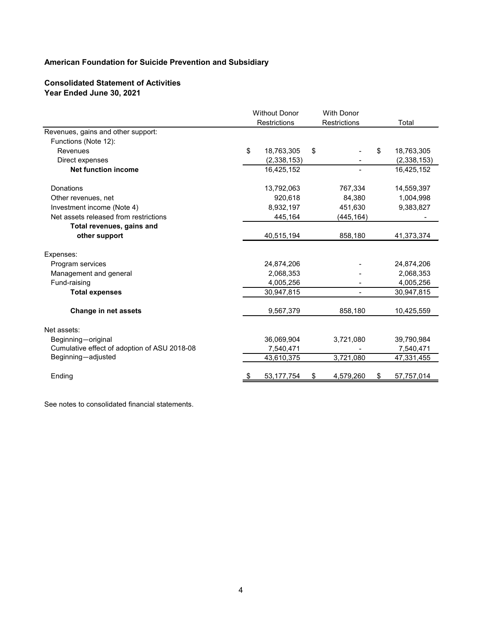# **Consolidated Statement of Activities Year Ended June 30, 2021**

|                                              | <b>Without Donor</b><br><b>With Donor</b> |                                            |    |            |                  |
|----------------------------------------------|-------------------------------------------|--------------------------------------------|----|------------|------------------|
|                                              |                                           | <b>Restrictions</b><br><b>Restrictions</b> |    | Total      |                  |
| Revenues, gains and other support:           |                                           |                                            |    |            |                  |
| Functions (Note 12):                         |                                           |                                            |    |            |                  |
| Revenues                                     | \$                                        | 18,763,305                                 | \$ |            | \$<br>18,763,305 |
| Direct expenses                              |                                           | (2,338,153)                                |    |            | (2,338,153)      |
| <b>Net function income</b>                   |                                           | 16,425,152                                 |    |            | 16,425,152       |
| Donations                                    |                                           | 13,792,063                                 |    | 767,334    | 14,559,397       |
| Other revenues, net                          |                                           | 920,618                                    |    | 84,380     | 1,004,998        |
| Investment income (Note 4)                   |                                           | 8,932,197                                  |    | 451,630    | 9,383,827        |
| Net assets released from restrictions        |                                           | 445,164                                    |    | (445, 164) |                  |
| Total revenues, gains and                    |                                           |                                            |    |            |                  |
| other support                                |                                           | 40,515,194                                 |    | 858,180    | 41,373,374       |
| Expenses:                                    |                                           |                                            |    |            |                  |
| Program services                             |                                           | 24,874,206                                 |    |            | 24,874,206       |
| Management and general                       |                                           | 2,068,353                                  |    |            | 2,068,353        |
| Fund-raising                                 |                                           | 4,005,256                                  |    |            | 4,005,256        |
| <b>Total expenses</b>                        |                                           | 30,947,815                                 |    |            | 30,947,815       |
| <b>Change in net assets</b>                  |                                           | 9,567,379                                  |    | 858,180    | 10,425,559       |
| Net assets:                                  |                                           |                                            |    |            |                  |
| Beginning-original                           |                                           | 36,069,904                                 |    | 3,721,080  | 39,790,984       |
| Cumulative effect of adoption of ASU 2018-08 |                                           | 7,540,471                                  |    |            | 7,540,471        |
| Beginning-adjusted                           |                                           | 43,610,375                                 |    | 3,721,080  | 47,331,455       |
| Ending                                       |                                           | 53, 177, 754                               | S  | 4,579,260  | \$<br>57,757,014 |
|                                              |                                           |                                            |    |            |                  |

See notes to consolidated financial statements.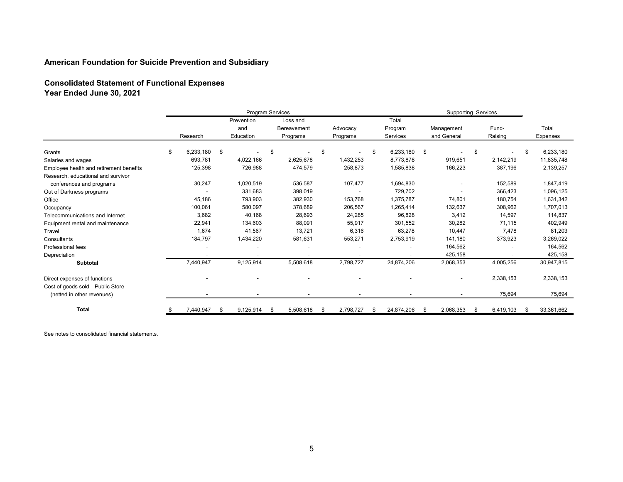**Consolidated Statement of Functional Expenses Year Ended June 30, 2021**

|                                         |                 |     | Program Services |                                |                 | <b>Supporting Services</b> |            |               |             |    |           |      |            |
|-----------------------------------------|-----------------|-----|------------------|--------------------------------|-----------------|----------------------------|------------|---------------|-------------|----|-----------|------|------------|
|                                         |                 |     | Prevention       | Loss and                       |                 |                            | Total      |               |             |    |           |      |            |
|                                         |                 |     | and              | Bereavement                    | Advocacy        |                            | Program    |               | Management  |    | Fund-     |      | Total      |
|                                         | Research        |     | Education        | Programs                       | Programs        |                            | Services   |               | and General |    | Raising   |      | Expenses   |
| Grants                                  | \$<br>6,233,180 | -\$ |                  | \$<br>$\overline{\phantom{0}}$ | \$              | \$                         | 6,233,180  | $\mathbf{\$}$ |             | \$ |           | - \$ | 6,233,180  |
| Salaries and wages                      | 693,781         |     | 4,022,166        | 2,625,678                      | 1,432,253       |                            | 8,773,878  |               | 919,651     |    | 2,142,219 |      | 11,835,748 |
| Employee health and retirement benefits | 125,398         |     | 726,988          | 474,579                        | 258,873         |                            | 1,585,838  |               | 166,223     |    | 387,196   |      | 2,139,257  |
| Research, educational and survivor      |                 |     |                  |                                |                 |                            |            |               |             |    |           |      |            |
| conferences and programs                | 30,247          |     | 1,020,519        | 536,587                        | 107,477         |                            | 1,694,830  |               |             |    | 152,589   |      | 1,847,419  |
| Out of Darkness programs                |                 |     | 331,683          | 398,019                        |                 |                            | 729,702    |               |             |    | 366,423   |      | 1,096,125  |
| Office                                  | 45,186          |     | 793,903          | 382,930                        | 153,768         |                            | 1,375,787  |               | 74,801      |    | 180,754   |      | 1,631,342  |
| Occupancy                               | 100,061         |     | 580,097          | 378,689                        | 206,567         |                            | 1,265,414  |               | 132,637     |    | 308,962   |      | 1,707,013  |
| Telecommunications and Internet         | 3,682           |     | 40,168           | 28,693                         | 24,285          |                            | 96,828     |               | 3,412       |    | 14,597    |      | 114,837    |
| Equipment rental and maintenance        | 22,941          |     | 134,603          | 88,091                         | 55,917          |                            | 301,552    |               | 30,282      |    | 71,115    |      | 402,949    |
| Travel                                  | 1,674           |     | 41,567           | 13,721                         | 6,316           |                            | 63,278     |               | 10,447      |    | 7,478     |      | 81,203     |
| Consultants                             | 184,797         |     | 1,434,220        | 581,631                        | 553,271         |                            | 2,753,919  |               | 141,180     |    | 373,923   |      | 3,269,022  |
| Professional fees                       |                 |     |                  |                                |                 |                            |            |               | 164,562     |    |           |      | 164,562    |
| Depreciation                            |                 |     |                  |                                |                 |                            |            |               | 425,158     |    |           |      | 425,158    |
| <b>Subtotal</b>                         | 7,440,947       |     | 9,125,914        | 5,508,618                      | 2,798,727       |                            | 24,874,206 |               | 2,068,353   |    | 4,005,256 |      | 30,947,815 |
| Direct expenses of functions            |                 |     |                  |                                |                 |                            |            |               |             |    | 2,338,153 |      | 2,338,153  |
| Cost of goods sold-Public Store         |                 |     |                  |                                |                 |                            |            |               |             |    |           |      |            |
| (netted in other revenues)              |                 |     |                  |                                |                 |                            |            |               |             |    | 75,694    |      | 75,694     |
| <b>Total</b>                            | 7,440,947       | \$  | 9,125,914        | \$<br>5,508,618                | \$<br>2,798,727 | \$                         | 24,874,206 | \$            | 2,068,353   | \$ | 6,419,103 | \$   | 33,361,662 |

See notes to consolidated financial statements.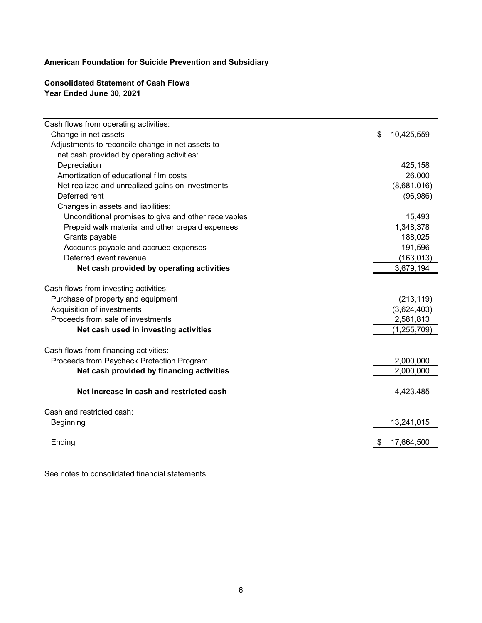# **Consolidated Statement of Cash Flows Year Ended June 30, 2021**

| Cash flows from operating activities:                                              |                  |
|------------------------------------------------------------------------------------|------------------|
| Change in net assets                                                               | \$<br>10,425,559 |
|                                                                                    |                  |
| Adjustments to reconcile change in net assets to                                   |                  |
| net cash provided by operating activities:                                         |                  |
| Depreciation                                                                       | 425,158          |
| Amortization of educational film costs                                             | 26,000           |
| Net realized and unrealized gains on investments                                   | (8,681,016)      |
| Deferred rent                                                                      | (96, 986)        |
| Changes in assets and liabilities:                                                 |                  |
| Unconditional promises to give and other receivables                               | 15,493           |
| Prepaid walk material and other prepaid expenses                                   | 1,348,378        |
| Grants payable                                                                     | 188,025          |
| Accounts payable and accrued expenses                                              | 191,596          |
| Deferred event revenue                                                             | (163, 013)       |
| Net cash provided by operating activities                                          | 3,679,194        |
|                                                                                    |                  |
| Cash flows from investing activities:                                              |                  |
| Purchase of property and equipment                                                 | (213, 119)       |
| Acquisition of investments                                                         | (3,624,403)      |
| Proceeds from sale of investments                                                  | 2,581,813        |
| Net cash used in investing activities                                              | (1,255,709)      |
|                                                                                    |                  |
| Cash flows from financing activities:<br>Proceeds from Paycheck Protection Program | 2,000,000        |
|                                                                                    | 2,000,000        |
| Net cash provided by financing activities                                          |                  |
| Net increase in cash and restricted cash                                           | 4,423,485        |
| Cash and restricted cash:                                                          |                  |
| <b>Beginning</b>                                                                   | 13,241,015       |
|                                                                                    |                  |
| Ending                                                                             | 17,664,500       |
|                                                                                    |                  |

See notes to consolidated financial statements.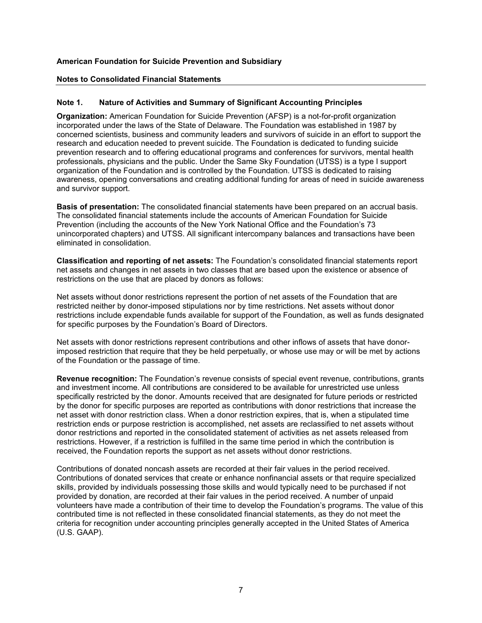#### **Notes to Consolidated Financial Statements**

#### **Note 1. Nature of Activities and Summary of Significant Accounting Principles**

**Organization:** American Foundation for Suicide Prevention (AFSP) is a not-for-profit organization incorporated under the laws of the State of Delaware. The Foundation was established in 1987 by concerned scientists, business and community leaders and survivors of suicide in an effort to support the research and education needed to prevent suicide. The Foundation is dedicated to funding suicide prevention research and to offering educational programs and conferences for survivors, mental health professionals, physicians and the public. Under the Same Sky Foundation (UTSS) is a type I support organization of the Foundation and is controlled by the Foundation. UTSS is dedicated to raising awareness, opening conversations and creating additional funding for areas of need in suicide awareness and survivor support.

**Basis of presentation:** The consolidated financial statements have been prepared on an accrual basis. The consolidated financial statements include the accounts of American Foundation for Suicide Prevention (including the accounts of the New York National Office and the Foundation's 73 unincorporated chapters) and UTSS. All significant intercompany balances and transactions have been eliminated in consolidation.

**Classification and reporting of net assets:** The Foundation's consolidated financial statements report net assets and changes in net assets in two classes that are based upon the existence or absence of restrictions on the use that are placed by donors as follows:

Net assets without donor restrictions represent the portion of net assets of the Foundation that are restricted neither by donor-imposed stipulations nor by time restrictions. Net assets without donor restrictions include expendable funds available for support of the Foundation, as well as funds designated for specific purposes by the Foundation's Board of Directors.

Net assets with donor restrictions represent contributions and other inflows of assets that have donorimposed restriction that require that they be held perpetually, or whose use may or will be met by actions of the Foundation or the passage of time.

**Revenue recognition:** The Foundation's revenue consists of special event revenue, contributions, grants and investment income. All contributions are considered to be available for unrestricted use unless specifically restricted by the donor. Amounts received that are designated for future periods or restricted by the donor for specific purposes are reported as contributions with donor restrictions that increase the net asset with donor restriction class. When a donor restriction expires, that is, when a stipulated time restriction ends or purpose restriction is accomplished, net assets are reclassified to net assets without donor restrictions and reported in the consolidated statement of activities as net assets released from restrictions. However, if a restriction is fulfilled in the same time period in which the contribution is received, the Foundation reports the support as net assets without donor restrictions.

Contributions of donated noncash assets are recorded at their fair values in the period received. Contributions of donated services that create or enhance nonfinancial assets or that require specialized skills, provided by individuals possessing those skills and would typically need to be purchased if not provided by donation, are recorded at their fair values in the period received. A number of unpaid volunteers have made a contribution of their time to develop the Foundation's programs. The value of this contributed time is not reflected in these consolidated financial statements, as they do not meet the criteria for recognition under accounting principles generally accepted in the United States of America (U.S. GAAP).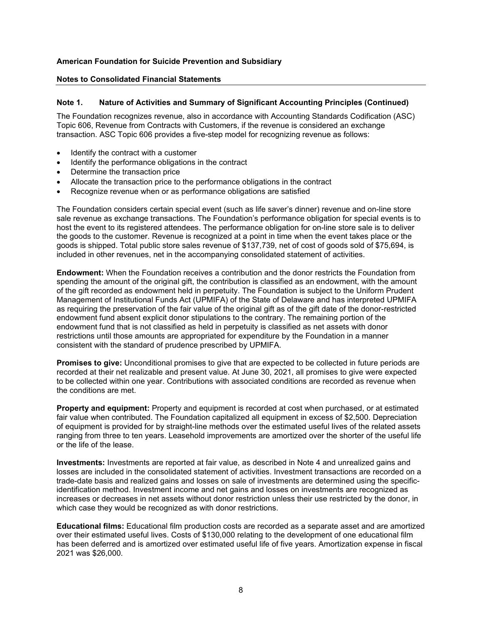#### **Notes to Consolidated Financial Statements**

#### **Note 1. Nature of Activities and Summary of Significant Accounting Principles (Continued)**

The Foundation recognizes revenue, also in accordance with Accounting Standards Codification (ASC) Topic 606, Revenue from Contracts with Customers, if the revenue is considered an exchange transaction. ASC Topic 606 provides a five-step model for recognizing revenue as follows:

- Identify the contract with a customer
- Identify the performance obligations in the contract
- Determine the transaction price
- Allocate the transaction price to the performance obligations in the contract
- Recognize revenue when or as performance obligations are satisfied

The Foundation considers certain special event (such as life saver's dinner) revenue and on-line store sale revenue as exchange transactions. The Foundation's performance obligation for special events is to host the event to its registered attendees. The performance obligation for on-line store sale is to deliver the goods to the customer. Revenue is recognized at a point in time when the event takes place or the goods is shipped. Total public store sales revenue of \$137,739, net of cost of goods sold of \$75,694, is included in other revenues, net in the accompanying consolidated statement of activities.

**Endowment:** When the Foundation receives a contribution and the donor restricts the Foundation from spending the amount of the original gift, the contribution is classified as an endowment, with the amount of the gift recorded as endowment held in perpetuity. The Foundation is subject to the Uniform Prudent Management of Institutional Funds Act (UPMIFA) of the State of Delaware and has interpreted UPMIFA as requiring the preservation of the fair value of the original gift as of the gift date of the donor-restricted endowment fund absent explicit donor stipulations to the contrary. The remaining portion of the endowment fund that is not classified as held in perpetuity is classified as net assets with donor restrictions until those amounts are appropriated for expenditure by the Foundation in a manner consistent with the standard of prudence prescribed by UPMIFA.

**Promises to give:** Unconditional promises to give that are expected to be collected in future periods are recorded at their net realizable and present value. At June 30, 2021, all promises to give were expected to be collected within one year. Contributions with associated conditions are recorded as revenue when the conditions are met.

**Property and equipment:** Property and equipment is recorded at cost when purchased, or at estimated fair value when contributed. The Foundation capitalized all equipment in excess of \$2,500. Depreciation of equipment is provided for by straight-line methods over the estimated useful lives of the related assets ranging from three to ten years. Leasehold improvements are amortized over the shorter of the useful life or the life of the lease.

**Investments:** Investments are reported at fair value, as described in Note 4 and unrealized gains and losses are included in the consolidated statement of activities. Investment transactions are recorded on a trade-date basis and realized gains and losses on sale of investments are determined using the specificidentification method. Investment income and net gains and losses on investments are recognized as increases or decreases in net assets without donor restriction unless their use restricted by the donor, in which case they would be recognized as with donor restrictions.

**Educational films:** Educational film production costs are recorded as a separate asset and are amortized over their estimated useful lives. Costs of \$130,000 relating to the development of one educational film has been deferred and is amortized over estimated useful life of five years. Amortization expense in fiscal 2021 was \$26,000.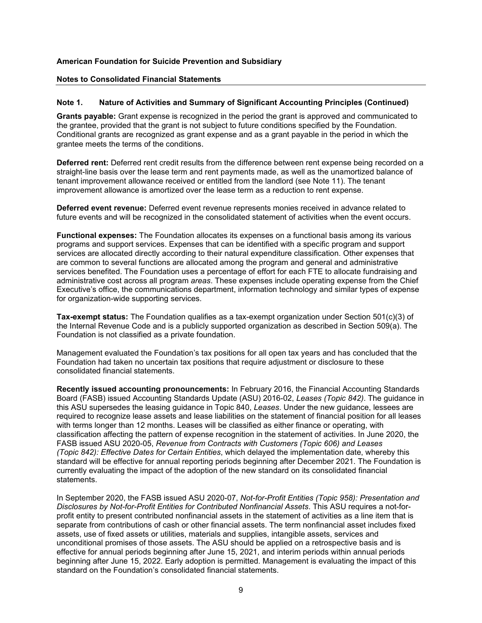#### **Notes to Consolidated Financial Statements**

### **Note 1. Nature of Activities and Summary of Significant Accounting Principles (Continued)**

**Grants payable:** Grant expense is recognized in the period the grant is approved and communicated to the grantee, provided that the grant is not subject to future conditions specified by the Foundation. Conditional grants are recognized as grant expense and as a grant payable in the period in which the grantee meets the terms of the conditions.

**Deferred rent:** Deferred rent credit results from the difference between rent expense being recorded on a straight-line basis over the lease term and rent payments made, as well as the unamortized balance of tenant improvement allowance received or entitled from the landlord (see Note 11). The tenant improvement allowance is amortized over the lease term as a reduction to rent expense.

**Deferred event revenue:** Deferred event revenue represents monies received in advance related to future events and will be recognized in the consolidated statement of activities when the event occurs.

**Functional expenses:** The Foundation allocates its expenses on a functional basis among its various programs and support services. Expenses that can be identified with a specific program and support services are allocated directly according to their natural expenditure classification. Other expenses that are common to several functions are allocated among the program and general and administrative services benefited. The Foundation uses a percentage of effort for each FTE to allocate fundraising and administrative cost across all program *areas*. These expenses include operating expense from the Chief Executive's office, the communications department, information technology and similar types of expense for organization-wide supporting services.

**Tax-exempt status:** The Foundation qualifies as a tax-exempt organization under Section 501(c)(3) of the Internal Revenue Code and is a publicly supported organization as described in Section 509(a). The Foundation is not classified as a private foundation.

Management evaluated the Foundation's tax positions for all open tax years and has concluded that the Foundation had taken no uncertain tax positions that require adjustment or disclosure to these consolidated financial statements.

**Recently issued accounting pronouncements:** In February 2016, the Financial Accounting Standards Board (FASB) issued Accounting Standards Update (ASU) 2016-02, *Leases (Topic 842)*. The guidance in this ASU supersedes the leasing guidance in Topic 840, *Leases*. Under the new guidance, lessees are required to recognize lease assets and lease liabilities on the statement of financial position for all leases with terms longer than 12 months. Leases will be classified as either finance or operating, with classification affecting the pattern of expense recognition in the statement of activities. In June 2020, the FASB issued ASU 2020-05, *Revenue from Contracts with Customers (Topic 606) and Leases (Topic 842): Effective Dates for Certain Entities*, which delayed the implementation date, whereby this standard will be effective for annual reporting periods beginning after December 2021. The Foundation is currently evaluating the impact of the adoption of the new standard on its consolidated financial statements.

In September 2020, the FASB issued ASU 2020-07, *Not-for-Profit Entities (Topic 958): Presentation and Disclosures by Not-for-Profit Entities for Contributed Nonfinancial Assets*. This ASU requires a not-forprofit entity to present contributed nonfinancial assets in the statement of activities as a line item that is separate from contributions of cash or other financial assets. The term nonfinancial asset includes fixed assets, use of fixed assets or utilities, materials and supplies, intangible assets, services and unconditional promises of those assets. The ASU should be applied on a retrospective basis and is effective for annual periods beginning after June 15, 2021, and interim periods within annual periods beginning after June 15, 2022. Early adoption is permitted. Management is evaluating the impact of this standard on the Foundation's consolidated financial statements.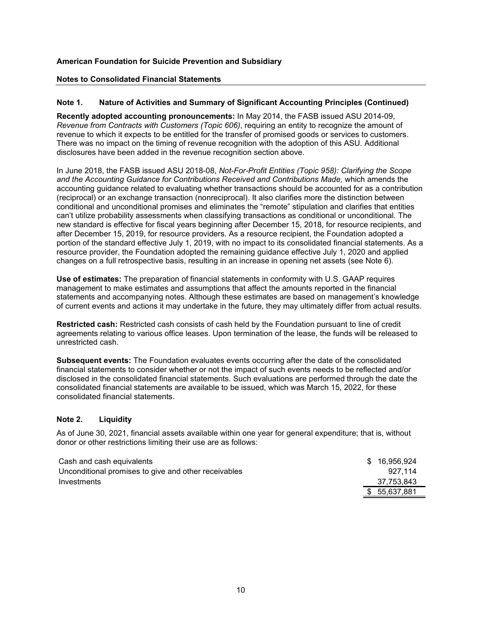#### **Notes to Consolidated Financial Statements**

### **Note 1. Nature of Activities and Summary of Significant Accounting Principles (Continued)**

**Recently adopted accounting pronouncements:** In May 2014, the FASB issued ASU 2014-09, *Revenue from Contracts with Customers (Topic 606)*, requiring an entity to recognize the amount of revenue to which it expects to be entitled for the transfer of promised goods or services to customers. There was no impact on the timing of revenue recognition with the adoption of this ASU. Additional disclosures have been added in the revenue recognition section above.

In June 2018, the FASB issued ASU 2018-08, *Not-For-Profit Entities (Topic 958): Clarifying the Scope*  and the Accounting Guidance for Contributions Received and Contributions Made, which amends the accounting guidance related to evaluating whether transactions should be accounted for as a contribution (reciprocal) or an exchange transaction (nonreciprocal). It also clarifies more the distinction between conditional and unconditional promises and eliminates the "remote" stipulation and clarifies that entities can't utilize probability assessments when classifying transactions as conditional or unconditional. The new standard is effective for fiscal years beginning after December 15, 2018, for resource recipients, and after December 15, 2019, for resource providers. As a resource recipient, the Foundation adopted a portion of the standard effective July 1, 2019, with no impact to its consolidated financial statements. As a resource provider, the Foundation adopted the remaining guidance effective July 1, 2020 and applied changes on a full retrospective basis, resulting in an increase in opening net assets (see Note 6).

**Use of estimates:** The preparation of financial statements in conformity with U.S. GAAP requires management to make estimates and assumptions that affect the amounts reported in the financial statements and accompanying notes. Although these estimates are based on management's knowledge of current events and actions it may undertake in the future, they may ultimately differ from actual results.

**Restricted cash:** Restricted cash consists of cash held by the Foundation pursuant to line of credit agreements relating to various office leases. Upon termination of the lease, the funds will be released to unrestricted cash.

**Subsequent events:** The Foundation evaluates events occurring after the date of the consolidated financial statements to consider whether or not the impact of such events needs to be reflected and/or disclosed in the consolidated financial statements. Such evaluations are performed through the date the consolidated financial statements are available to be issued, which was March 15, 2022, for these consolidated financial statements.

#### **Note 2. Liquidity**

As of June 30, 2021, financial assets available within one year for general expenditure; that is, without donor or other restrictions limiting their use are as follows:

| Cash and cash equivalents                            | \$16.956.924  |
|------------------------------------------------------|---------------|
| Unconditional promises to give and other receivables | 927.114       |
| Investments                                          | 37,753,843    |
|                                                      | \$ 55,637,881 |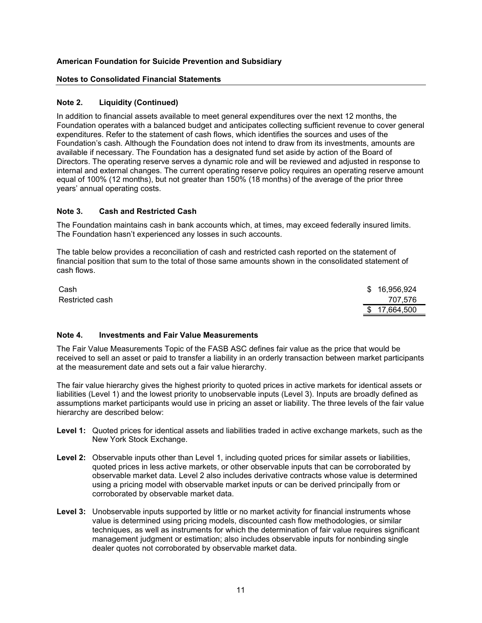#### **Notes to Consolidated Financial Statements**

# **Note 2. Liquidity (Continued)**

In addition to financial assets available to meet general expenditures over the next 12 months, the Foundation operates with a balanced budget and anticipates collecting sufficient revenue to cover general expenditures. Refer to the statement of cash flows, which identifies the sources and uses of the Foundation's cash. Although the Foundation does not intend to draw from its investments, amounts are available if necessary. The Foundation has a designated fund set aside by action of the Board of Directors. The operating reserve serves a dynamic role and will be reviewed and adjusted in response to internal and external changes. The current operating reserve policy requires an operating reserve amount equal of 100% (12 months), but not greater than 150% (18 months) of the average of the prior three years' annual operating costs.

## **Note 3. Cash and Restricted Cash**

The Foundation maintains cash in bank accounts which, at times, may exceed federally insured limits. The Foundation hasn't experienced any losses in such accounts.

The table below provides a reconciliation of cash and restricted cash reported on the statement of financial position that sum to the total of those same amounts shown in the consolidated statement of cash flows.

| Cash            | \$16,956,924 |
|-----------------|--------------|
| Restricted cash | 707.576      |
|                 | \$17,664,500 |

#### **Note 4. Investments and Fair Value Measurements**

The Fair Value Measurements Topic of the FASB ASC defines fair value as the price that would be received to sell an asset or paid to transfer a liability in an orderly transaction between market participants at the measurement date and sets out a fair value hierarchy.

The fair value hierarchy gives the highest priority to quoted prices in active markets for identical assets or liabilities (Level 1) and the lowest priority to unobservable inputs (Level 3). Inputs are broadly defined as assumptions market participants would use in pricing an asset or liability. The three levels of the fair value hierarchy are described below:

- **Level 1:** Quoted prices for identical assets and liabilities traded in active exchange markets, such as the New York Stock Exchange.
- **Level 2:** Observable inputs other than Level 1, including quoted prices for similar assets or liabilities, quoted prices in less active markets, or other observable inputs that can be corroborated by observable market data. Level 2 also includes derivative contracts whose value is determined using a pricing model with observable market inputs or can be derived principally from or corroborated by observable market data.
- **Level 3:** Unobservable inputs supported by little or no market activity for financial instruments whose value is determined using pricing models, discounted cash flow methodologies, or similar techniques, as well as instruments for which the determination of fair value requires significant management judgment or estimation; also includes observable inputs for nonbinding single dealer quotes not corroborated by observable market data.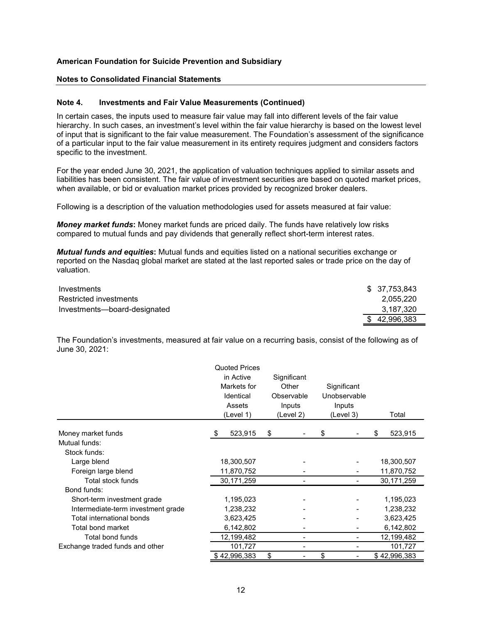#### **Notes to Consolidated Financial Statements**

#### **Note 4. Investments and Fair Value Measurements (Continued)**

In certain cases, the inputs used to measure fair value may fall into different levels of the fair value hierarchy. In such cases, an investment's level within the fair value hierarchy is based on the lowest level of input that is significant to the fair value measurement. The Foundation's assessment of the significance of a particular input to the fair value measurement in its entirety requires judgment and considers factors specific to the investment.

For the year ended June 30, 2021, the application of valuation techniques applied to similar assets and liabilities has been consistent. The fair value of investment securities are based on quoted market prices, when available, or bid or evaluation market prices provided by recognized broker dealers.

Following is a description of the valuation methodologies used for assets measured at fair value:

*Money market funds***:** Money market funds are priced daily. The funds have relatively low risks compared to mutual funds and pay dividends that generally reflect short-term interest rates.

*Mutual funds and equities***:** Mutual funds and equities listed on a national securities exchange or reported on the Nasdaq global market are stated at the last reported sales or trade price on the day of valuation.

| Investments                  | \$ 37,753,843 |
|------------------------------|---------------|
| Restricted investments       | 2,055,220     |
| Investments-board-designated | 3,187,320     |
|                              | 42.996.383    |

The Foundation's investments, measured at fair value on a recurring basis, consist of the following as of June 30, 2021:

|                                    | <b>Quoted Prices</b> |             |              |   |              |
|------------------------------------|----------------------|-------------|--------------|---|--------------|
|                                    | in Active            | Significant |              |   |              |
|                                    | Markets for          | Other       | Significant  |   |              |
|                                    | Identical            | Observable  | Unobservable |   |              |
|                                    | Assets               | Inputs      | Inputs       |   |              |
|                                    | (Level 1)            | (Level 2)   | (Level 3)    |   | Total        |
| Money market funds                 | \$<br>523,915        | \$          | \$           | S | 523,915      |
| Mutual funds:                      |                      |             |              |   |              |
| Stock funds:                       |                      |             |              |   |              |
| Large blend                        | 18,300,507           |             |              |   | 18,300,507   |
| Foreign large blend                | 11,870,752           |             |              |   | 11,870,752   |
| Total stock funds                  | 30,171,259           |             |              |   | 30,171,259   |
| Bond funds:                        |                      |             |              |   |              |
| Short-term investment grade        | 1,195,023            |             |              |   | 1,195,023    |
| Intermediate-term investment grade | 1,238,232            |             |              |   | 1,238,232    |
| Total international bonds          | 3,623,425            |             |              |   | 3,623,425    |
| Total bond market                  | 6,142,802            |             |              |   | 6,142,802    |
| Total bond funds                   | 12,199,482           | -           |              |   | 12,199,482   |
| Exchange traded funds and other    | 101,727              |             |              |   | 101,727      |
|                                    | \$42,996,383         | \$          | \$           |   | \$42,996,383 |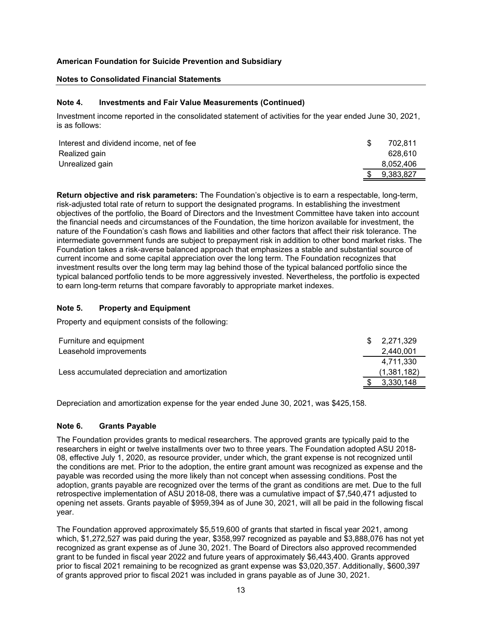#### **Notes to Consolidated Financial Statements**

#### **Note 4. Investments and Fair Value Measurements (Continued)**

Investment income reported in the consolidated statement of activities for the year ended June 30, 2021, is as follows:

| Interest and dividend income, net of fee | 702.811   |
|------------------------------------------|-----------|
| Realized gain                            | 628.610   |
| Unrealized gain                          | 8,052,406 |
|                                          | 9,383,827 |

**Return objective and risk parameters:** The Foundation's objective is to earn a respectable, long-term, risk-adjusted total rate of return to support the designated programs. In establishing the investment objectives of the portfolio, the Board of Directors and the Investment Committee have taken into account the financial needs and circumstances of the Foundation, the time horizon available for investment, the nature of the Foundation's cash flows and liabilities and other factors that affect their risk tolerance. The intermediate government funds are subject to prepayment risk in addition to other bond market risks. The Foundation takes a risk-averse balanced approach that emphasizes a stable and substantial source of current income and some capital appreciation over the long term. The Foundation recognizes that investment results over the long term may lag behind those of the typical balanced portfolio since the typical balanced portfolio tends to be more aggressively invested. Nevertheless, the portfolio is expected to earn long-term returns that compare favorably to appropriate market indexes.

#### **Note 5. Property and Equipment**

Property and equipment consists of the following:

| Furniture and equipment                        | SS. | 2,271,329   |
|------------------------------------------------|-----|-------------|
| Leasehold improvements                         |     | 2,440,001   |
|                                                |     | 4.711.330   |
| Less accumulated depreciation and amortization |     | (1,381,182) |
|                                                |     | 3,330,148   |

Depreciation and amortization expense for the year ended June 30, 2021, was \$425,158.

#### **Note 6. Grants Payable**

The Foundation provides grants to medical researchers. The approved grants are typically paid to the researchers in eight or twelve installments over two to three years. The Foundation adopted ASU 2018- 08, effective July 1, 2020, as resource provider, under which, the grant expense is not recognized until the conditions are met. Prior to the adoption, the entire grant amount was recognized as expense and the payable was recorded using the more likely than not concept when assessing conditions. Post the adoption, grants payable are recognized over the terms of the grant as conditions are met. Due to the full retrospective implementation of ASU 2018-08, there was a cumulative impact of \$7,540,471 adjusted to opening net assets. Grants payable of \$959,394 as of June 30, 2021, will all be paid in the following fiscal year.

The Foundation approved approximately \$5,519,600 of grants that started in fiscal year 2021, among which, \$1,272,527 was paid during the year, \$358,997 recognized as payable and \$3,888,076 has not yet recognized as grant expense as of June 30, 2021. The Board of Directors also approved recommended grant to be funded in fiscal year 2022 and future years of approximately \$6,443,400. Grants approved prior to fiscal 2021 remaining to be recognized as grant expense was \$3,020,357. Additionally, \$600,397 of grants approved prior to fiscal 2021 was included in grans payable as of June 30, 2021.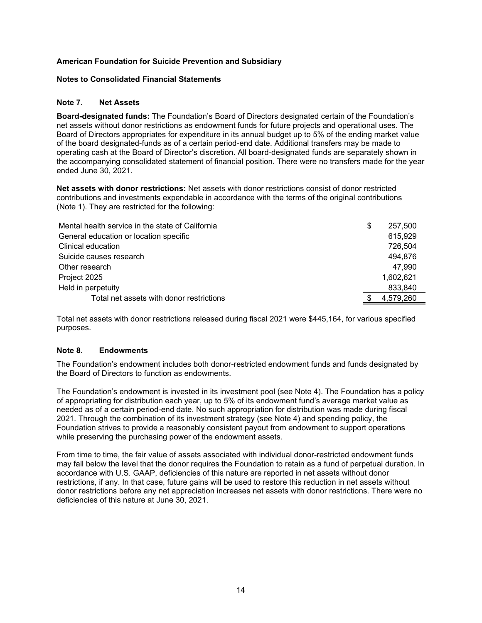#### **Notes to Consolidated Financial Statements**

#### **Note 7. Net Assets**

**Board-designated funds:** The Foundation's Board of Directors designated certain of the Foundation's net assets without donor restrictions as endowment funds for future projects and operational uses. The Board of Directors appropriates for expenditure in its annual budget up to 5% of the ending market value of the board designated-funds as of a certain period-end date. Additional transfers may be made to operating cash at the Board of Director's discretion. All board-designated funds are separately shown in the accompanying consolidated statement of financial position. There were no transfers made for the year ended June 30, 2021.

**Net assets with donor restrictions:** Net assets with donor restrictions consist of donor restricted contributions and investments expendable in accordance with the terms of the original contributions (Note 1). They are restricted for the following:

| Mental health service in the state of California | S | 257.500   |
|--------------------------------------------------|---|-----------|
| General education or location specific           |   | 615,929   |
| Clinical education                               |   | 726,504   |
| Suicide causes research                          |   | 494,876   |
| Other research                                   |   | 47,990    |
| Project 2025                                     |   | 1,602,621 |
| Held in perpetuity                               |   | 833,840   |
| Total net assets with donor restrictions         |   | 4,579,260 |

Total net assets with donor restrictions released during fiscal 2021 were \$445,164, for various specified purposes.

#### **Note 8. Endowments**

The Foundation's endowment includes both donor-restricted endowment funds and funds designated by the Board of Directors to function as endowments.

The Foundation's endowment is invested in its investment pool (see Note 4). The Foundation has a policy of appropriating for distribution each year, up to 5% of its endowment fund's average market value as needed as of a certain period-end date. No such appropriation for distribution was made during fiscal 2021*.* Through the combination of its investment strategy (see Note 4) and spending policy, the Foundation strives to provide a reasonably consistent payout from endowment to support operations while preserving the purchasing power of the endowment assets.

From time to time, the fair value of assets associated with individual donor-restricted endowment funds may fall below the level that the donor requires the Foundation to retain as a fund of perpetual duration. In accordance with U.S. GAAP, deficiencies of this nature are reported in net assets without donor restrictions, if any. In that case, future gains will be used to restore this reduction in net assets without donor restrictions before any net appreciation increases net assets with donor restrictions. There were no deficiencies of this nature at June 30, 2021.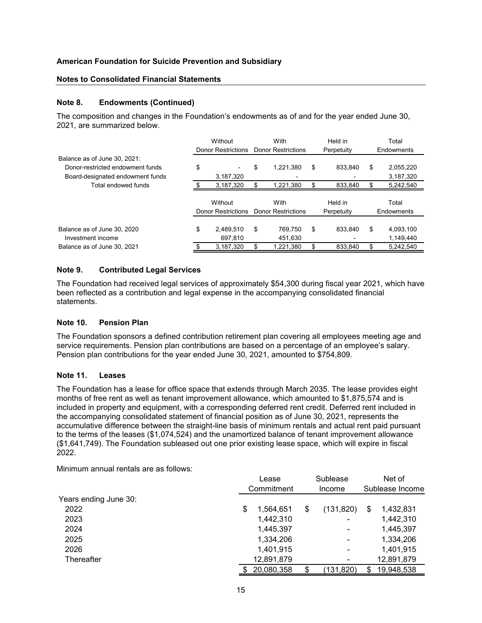#### **Notes to Consolidated Financial Statements**

#### **Note 8. Endowments (Continued)**

The composition and changes in the Foundation's endowments as of and for the year ended June 30, 2021, are summarized below.

|                                  | Without<br><b>Donor Restrictions</b> |    | With<br><b>Donor Restrictions</b> |    | Held in<br>Perpetuity | Total<br>Endowments |
|----------------------------------|--------------------------------------|----|-----------------------------------|----|-----------------------|---------------------|
| Balance as of June 30, 2021:     |                                      |    |                                   |    |                       |                     |
| Donor-restricted endowment funds | \$                                   | \$ | 1,221,380                         | \$ | 833.840               | \$<br>2,055,220     |
| Board-designated endowment funds | 3,187,320                            |    |                                   |    |                       | 3,187,320           |
| Total endowed funds              | 3,187,320                            | S. | 1.221.380                         |    | 833.840               | 5,242,540           |
|                                  | Without                              |    | With                              |    | Held in               | Total               |
|                                  | <b>Donor Restrictions</b>            |    | <b>Donor Restrictions</b>         |    | Perpetuity            | Endowments          |
|                                  |                                      |    |                                   |    |                       |                     |
| Balance as of June 30, 2020      | \$<br>2,489,510                      | \$ | 769.750                           | \$ | 833.840               | \$<br>4,093,100     |
| Investment income                | 697.810                              |    | 451,630                           |    |                       | 1,149,440           |
| Balance as of June 30, 2021      | 3,187,320                            | \$ | 1,221,380                         | S  | 833.840               | \$<br>5,242,540     |

#### **Note 9. Contributed Legal Services**

The Foundation had received legal services of approximately \$54,300 during fiscal year 2021, which have been reflected as a contribution and legal expense in the accompanying consolidated financial statements.

#### **Note 10. Pension Plan**

The Foundation sponsors a defined contribution retirement plan covering all employees meeting age and service requirements. Pension plan contributions are based on a percentage of an employee's salary. Pension plan contributions for the year ended June 30, 2021, amounted to \$754,809.

#### **Note 11. Leases**

The Foundation has a lease for office space that extends through March 2035. The lease provides eight months of free rent as well as tenant improvement allowance, which amounted to \$1,875,574 and is included in property and equipment, with a corresponding deferred rent credit. Deferred rent included in the accompanying consolidated statement of financial position as of June 30, 2021, represents the accumulative difference between the straight-line basis of minimum rentals and actual rent paid pursuant to the terms of the leases (\$1,074,524) and the unamortized balance of tenant improvement allowance (\$1,641,749). The Foundation subleased out one prior existing lease space, which will expire in fiscal 2022.

Minimum annual rentals are as follows:

|                       | Lease           |    |            | Net of |                 |  |
|-----------------------|-----------------|----|------------|--------|-----------------|--|
|                       | Commitment      |    | Income     |        | Sublease Income |  |
| Years ending June 30: |                 |    |            |        |                 |  |
| 2022                  | \$<br>1,564,651 | \$ | (131, 820) | S      | 1,432,831       |  |
| 2023                  | 1,442,310       |    |            |        | 1,442,310       |  |
| 2024                  | 1,445,397       |    | ۰          |        | 1,445,397       |  |
| 2025                  | 1,334,206       |    |            |        | 1,334,206       |  |
| 2026                  | 1,401,915       |    |            |        | 1,401,915       |  |
| Thereafter            | 12,891,879      |    |            |        | 12,891,879      |  |
|                       | 20,080,358      | \$ | (131,820)  | \$     | 19,948,538      |  |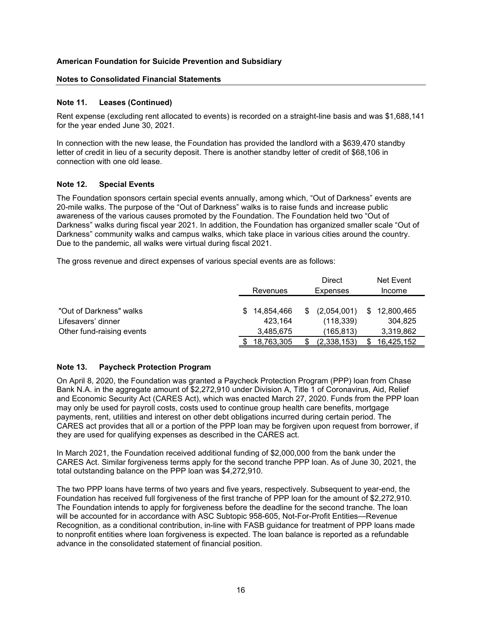#### **Notes to Consolidated Financial Statements**

#### **Note 11. Leases (Continued)**

Rent expense (excluding rent allocated to events) is recorded on a straight-line basis and was \$1,688,141 for the year ended June 30, 2021.

In connection with the new lease, the Foundation has provided the landlord with a \$639,470 standby letter of credit in lieu of a security deposit. There is another standby letter of credit of \$68,106 in connection with one old lease.

#### **Note 12. Special Events**

The Foundation sponsors certain special events annually, among which, "Out of Darkness" events are 20-mile walks. The purpose of the "Out of Darkness" walks is to raise funds and increase public awareness of the various causes promoted by the Foundation. The Foundation held two "Out of Darkness" walks during fiscal year 2021. In addition, the Foundation has organized smaller scale "Out of Darkness" community walks and campus walks, which take place in various cities around the country. Due to the pandemic, all walks were virtual during fiscal 2021.

The gross revenue and direct expenses of various special events are as follows:

|                                                                            | Revenues                                 | <b>Direct</b><br><b>Expenses</b>       | Net Event<br>Income                       |  |
|----------------------------------------------------------------------------|------------------------------------------|----------------------------------------|-------------------------------------------|--|
| "Out of Darkness" walks<br>Lifesavers' dinner<br>Other fund-raising events | 14,854,466<br>S.<br>423,164<br>3,485,675 | (2,054,001)<br>(118, 339)<br>(165,813) | 12,800,465<br>\$.<br>304,825<br>3,319,862 |  |
|                                                                            | 18,763,305                               | (2,338,153)                            | 16,425,152                                |  |

#### **Note 13. Paycheck Protection Program**

On April 8, 2020, the Foundation was granted a Paycheck Protection Program (PPP) loan from Chase Bank N.A. in the aggregate amount of \$2,272,910 under Division A, Title 1 of Coronavirus, Aid, Relief and Economic Security Act (CARES Act), which was enacted March 27, 2020. Funds from the PPP loan may only be used for payroll costs, costs used to continue group health care benefits, mortgage payments, rent, utilities and interest on other debt obligations incurred during certain period. The CARES act provides that all or a portion of the PPP loan may be forgiven upon request from borrower, if they are used for qualifying expenses as described in the CARES act.

In March 2021, the Foundation received additional funding of \$2,000,000 from the bank under the CARES Act. Similar forgiveness terms apply for the second tranche PPP loan. As of June 30, 2021, the total outstanding balance on the PPP loan was \$4,272,910.

The two PPP loans have terms of two years and five years, respectively. Subsequent to year-end, the Foundation has received full forgiveness of the first tranche of PPP loan for the amount of \$2,272,910. The Foundation intends to apply for forgiveness before the deadline for the second tranche. The loan will be accounted for in accordance with ASC Subtopic 958-605, Not-For-Profit Entities—Revenue Recognition, as a conditional contribution, in-line with FASB guidance for treatment of PPP loans made to nonprofit entities where loan forgiveness is expected. The loan balance is reported as a refundable advance in the consolidated statement of financial position.